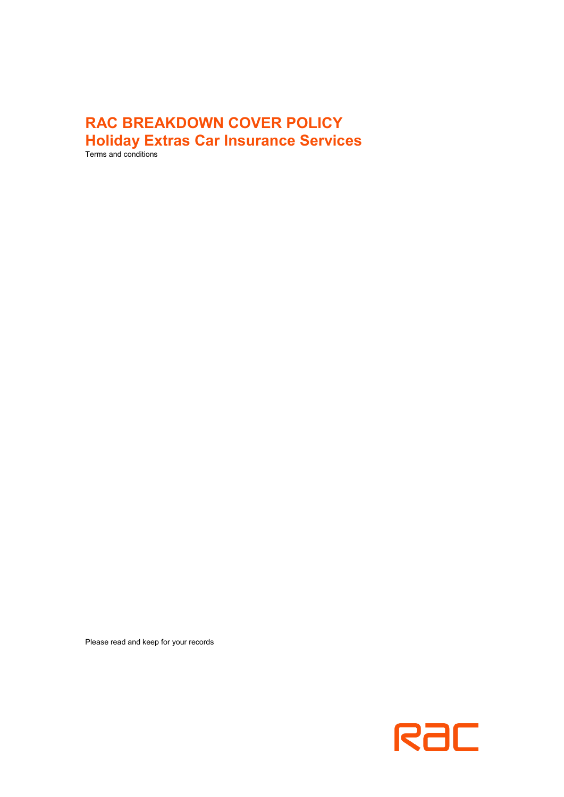# **RAC BREAKDOWN COVER POLICY Holiday Extras Car Insurance Services**

Terms and conditions

Please read and keep for your records

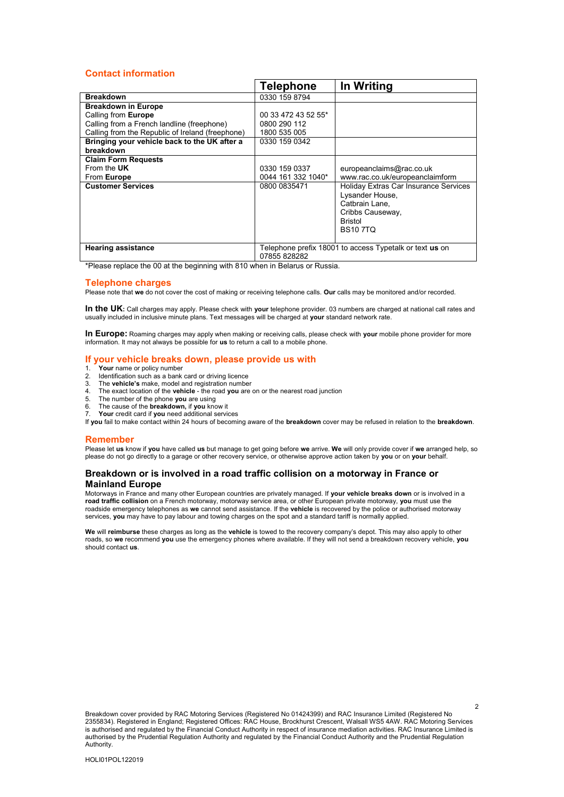### <span id="page-1-0"></span>**Contact information**

|                                                  | <b>Telephone</b>                                        | In Writing                            |
|--------------------------------------------------|---------------------------------------------------------|---------------------------------------|
| <b>Breakdown</b>                                 | 0330 159 8794                                           |                                       |
| <b>Breakdown in Europe</b>                       |                                                         |                                       |
| Calling from Europe                              | 00 33 472 43 52 55*                                     |                                       |
| Calling from a French landline (freephone)       | 0800 290 112                                            |                                       |
| Calling from the Republic of Ireland (freephone) | 1800 535 005                                            |                                       |
| Bringing your vehicle back to the UK after a     | 0330 159 0342                                           |                                       |
| breakdown                                        |                                                         |                                       |
| <b>Claim Form Requests</b>                       |                                                         |                                       |
| From the UK                                      | 0330 159 0337                                           | europeanclaims@rac.co.uk              |
| From Europe                                      | 0044 161 332 1040*                                      | www.rac.co.uk/europeanclaimform       |
| <b>Customer Services</b>                         | 0800 0835471                                            | Holiday Extras Car Insurance Services |
|                                                  |                                                         | Lysander House,                       |
|                                                  |                                                         | Catbrain Lane.                        |
|                                                  |                                                         | Cribbs Causeway,                      |
|                                                  |                                                         | <b>Bristol</b>                        |
|                                                  |                                                         | <b>BS107TQ</b>                        |
|                                                  |                                                         |                                       |
| <b>Hearing assistance</b>                        | Telephone prefix 18001 to access Typetalk or text us on |                                       |
|                                                  | 07855 828282                                            |                                       |

\*Please replace the 00 at the beginning with 810 when in Belarus or Russia.

#### **Telephone charges**

Please note that **we** do not cover the cost of making or receiving telephone calls. **Our** calls may be monitored and/or recorded.

In the UK: Call charges may apply. Please check with your telephone provider. 03 numbers are charged at national call rates and usually included in inclusive minute plans. Text messages will be charged at **your** standard network rate.

**In Europe:** Roaming charges may apply when making or receiving calls, please check with **your** mobile phone provider for more information. It may not always be possible for **us** to return a call to a mobile phone.

### **If your vehicle breaks down, please provide us with**

- 1. **Your** name or policy number
- 2. Identification such as a bank card or driving licence
- 3. The **vehicle's** make, model and registration number
- 4. The exact location of the **vehicle** the road **you** are on or the nearest road junction<br>5. The number of the phone **you** are using
- 5. The number of the phone **you** are using
- 6. The cause of the **breakdown,** if **you** know it
- 7. **Your** credit card if **you** need additional services

If **you** fail to make contact within 24 hours of becoming aware of the **breakdown** cover may be refused in relation to the **breakdown**.

#### **Remember**

Please let **us** know if **you** have called **us** but manage to get going before **we** arrive. **We** will only provide cover if **we** arranged help, so please do not go directly to a garage or other recovery service, or otherwise approve action taken by **you** or on **your** behalf.

### **Breakdown or is involved in a road traffic collision on a motorway in France or Mainland Europe**

Motorways in France and many other European countries are privately managed. If **your vehicle breaks down** or is involved in a **road traffic collision** on a French motorway, motorway service area, or other European private motorway, **you** must use the roadside emergency telephones as **we** cannot send assistance. If the **vehicle** is recovered by the police or authorised motorway services, **you** may have to pay labour and towing charges on the spot and a standard tariff is normally applied.

**We** will **reimburse** these charges as long as the **vehicle** is towed to the recovery company's depot. This may also apply to other roads, so **we** recommend **you** use the emergency phones where available. If they will not send a breakdown recovery vehicle, **you**  should contact **us**.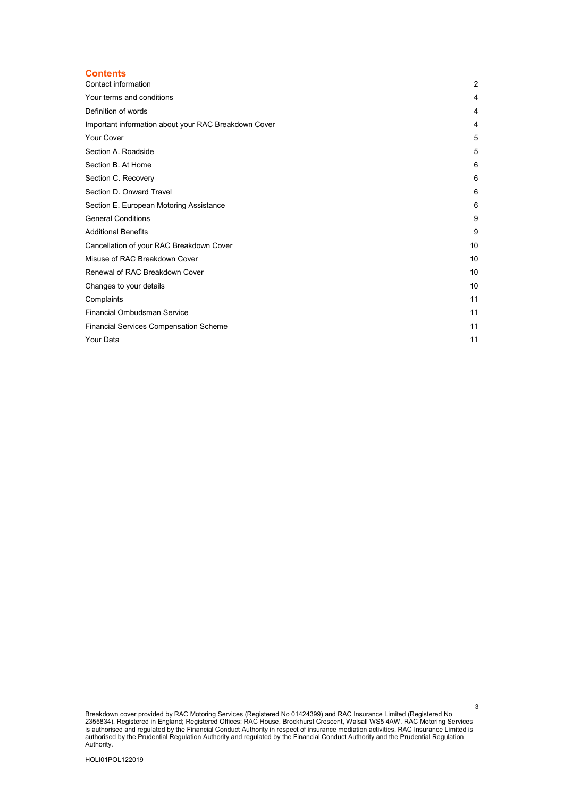### **Contents**

| Contact information                                  | 2  |
|------------------------------------------------------|----|
| Your terms and conditions                            | 4  |
| Definition of words                                  | 4  |
| Important information about your RAC Breakdown Cover | 4  |
| <b>Your Cover</b>                                    | 5  |
| Section A. Roadside                                  | 5  |
| Section B. At Home                                   | 6  |
| Section C. Recovery                                  | 6  |
| Section D. Onward Travel                             | 6  |
| Section E. European Motoring Assistance              | 6  |
| <b>General Conditions</b>                            | 9  |
| <b>Additional Benefits</b>                           | 9  |
| Cancellation of your RAC Breakdown Cover             | 10 |
| Misuse of RAC Breakdown Cover                        | 10 |
| Renewal of RAC Breakdown Cover                       | 10 |
| Changes to your details                              | 10 |
| Complaints                                           | 11 |
| <b>Financial Ombudsman Service</b>                   | 11 |
| <b>Financial Services Compensation Scheme</b>        | 11 |
| Your Data                                            | 11 |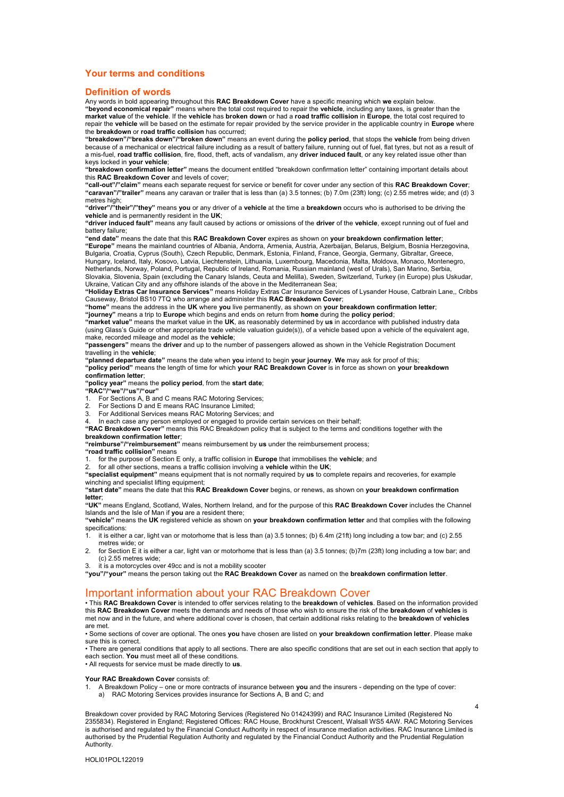### <span id="page-3-0"></span>**Your terms and conditions**

#### <span id="page-3-1"></span>**Definition of words**

Any words in bold appearing throughout this **RAC Breakdown Cover** have a specific meaning which **we** explain below. **"beyond economical repair"** means where the total cost required to repair the **vehicle**, including any taxes, is greater than the **market value** of the **vehicle**. If the **vehicle** has **broken down** or had a **road traffic collision** in **Europe**, the total cost required to repair the **vehicle** will be based on the estimate for repair provided by the service provider in the applicable country in **Europe** where the **breakdown** or **road traffic collision** has occurred;

**"breakdown"/"breaks down"/"broken down"** means an event during the **policy period**, that stops the **vehicle** from being driven because of a mechanical or electrical failure including as a result of battery failure, running out of fuel, flat tyres, but not as a result of<br>a mis-fuel, **road traffic collision**, fire, flood, theft, acts of vandalism, a keys locked in **your vehicle**;

**"breakdown confirmation letter"** means the document entitled "breakdown confirmation letter" containing important details about this **RAC Breakdown Cover** and levels of cover;

**"call-out"/"claim"** means each separate request for service or benefit for cover under any section of this **RAC Breakdown Cover**; **"caravan"/"trailer"** means any caravan or trailer that is less than (a) 3.5 tonnes; (b) 7.0m (23ft) long; (c) 2.55 metres wide; and (d) 3

metres high;<br>"**driver"/"their"/"they"** means **you** or any driver of a **vehicle** at the time a **breakdown** occurs who is authorised to be driving the **vehicle** and is permanently resident in the **UK**;

**"driver induced fault"** means any fault caused by actions or omissions of the **driver** of the **vehicle**, except running out of fuel and battery failure;

**"end date"** means the date that this **RAC Breakdown Cover** expires as shown on **your breakdown confirmation letter**;

**"Europe"** means the mainland countries of Albania, Andorra, Armenia, Austria, Azerbaijan, Belarus, Belgium, Bosnia Herzegovina, Bulgaria, Croatia, Cyprus (South), Czech Republic, Denmark, Estonia, Finland, France, Georgia, Germany, Gibraltar, Greece, Hungary, Iceland, Italy, Kosovo, Latvia, Liechtenstein, Lithuania, Luxembourg, Macedonia, Malta, Moldova, Monaco, Montenegro,

Netherlands, Norway, Poland, Portugal, Republic of Ireland, Romania, Russian mainland (west of Urals), San Marino, Serbia, Slovakia, Slovenia, Spain (excluding the Canary Islands, Ceuta and Melilla), Sweden, Switzerland, Turkey (in Europe) plus Uskudar, Ukraine, Vatican City and any offshore islands of the above in the Mediterranean Sea;

**"Holiday Extras Car Insurance Services"** means Holiday Extras Car Insurance Services of Lysander House, Catbrain Lane,, Cribbs Causeway, Bristol BS10 7TQ who arrange and administer this **RAC Breakdown Cover**;

**"home"** means the address in the **UK** where **you** live permanently, as shown on **your breakdown confirmation letter**; **"journey"** means a trip to **Europe** which begins and ends on return from **home** during the **policy period**;

**"market value"** means the market value in the **UK**, as reasonably determined by **us** in accordance with published industry data (using Glass's Guide or other appropriate trade vehicle valuation guide(s)), of a vehicle based upon a vehicle of the equivalent age, make, recorded mileage and model as the **vehicle**;

**"passengers"** means the **driver** and up to the number of passengers allowed as shown in the Vehicle Registration Document travelling in the **vehicle**;

**"planned departure date"** means the date when **you** intend to begin **your journey**. **We** may ask for proof of this;

**"policy period"** means the length of time for which **your RAC Breakdown Cover** is in force as shown on **your breakdown confirmation letter**;

**"policy year"** means the **policy period**, from the **start date**;

- **"RAC"/"we"/"us"/"our"**
- For Sections A, B and C means RAC Motoring Services;
- 2. For Sections D and E means RAC Insurance Limited;<br>2. For Additional Services means RAC Motoring Service
- 3. For Additional Services means RAC Motoring Services; and
- 4. In each case any person employed or engaged to provide certain services on their behalf; **"RAC Breakdown Cover"** means this RAC Breakdown policy that is subject to the terms and conditions together with the

#### **breakdown confirmation letter**;

**"reimburse"/"reimbursement"** means reimbursement by **us** under the reimbursement process;

**"road traffic collision"** means

- 1. for the purpose of Section E only, a traffic collision in **Europe** that immobilises the **vehicle**; and
- 2. for all other sections, means a traffic collision involving a **vehicle** within the **UK**;

**"specialist equipment"** means equipment that is not normally required by **us** to complete repairs and recoveries, for example winching and specialist lifting equipment;

**"start date"** means the date that this **RAC Breakdown Cover** begins, or renews, as shown on **your breakdown confirmation letter**;

**"UK"** means England, Scotland, Wales, Northern Ireland, and for the purpose of this **RAC Breakdown Cover** includes the Channel Islands and the Isle of Man if **you** are a resident there;

**"vehicle"** means the **UK** registered vehicle as shown on **your breakdown confirmation letter** and that complies with the following specifications:<br>1. it is either

1. it is either a car, light van or motorhome that is less than (a) 3.5 tonnes; (b) 6.4m (21ft) long including a tow bar; and (c) 2.55 metres wide; or

2. for Section E it is either a car, light van or motorhome that is less than (a) 3.5 tonnes; (b)7m (23ft) long including a tow bar; and (c) 2.55 metres wide;

3. it is a motorcycles over 49cc and is not a mobility scooter

**"you"/"your"** means the person taking out the **RAC Breakdown Cover** as named on the **breakdown confirmation letter**.

### <span id="page-3-2"></span>Important information about your RAC Breakdown Cover

• This **RAC Breakdown Cover** is intended to offer services relating to the **breakdown** of **vehicles**. Based on the information provided this **RAC Breakdown Cover** meets the demands and needs of those who wish to ensure the risk of the **breakdown** of **vehicles** is met now and in the future, and where additional cover is chosen, that certain additional risks relating to the **breakdown** of **vehicles**  are met.

• Some sections of cover are optional. The ones **you** have chosen are listed on **your breakdown confirmation letter**. Please make sure this is correct.

• There are general conditions that apply to all sections. There are also specific conditions that are set out in each section that apply to each section. **You** must meet all of these conditions.

• All requests for service must be made directly to **us**.

#### **Your RAC Breakdown Cover** consists of:

1. A Breakdown Policy – one or more contracts of insurance between **you** and the insurers - depending on the type of cover: a) RAC Motoring Services provides insurance for Sections A, B and C; and

Breakdown cover provided by RAC Motoring Services (Registered No 01424399) and RAC Insurance Limited (Registered No 2355834). Registered in England; Registered Offices: RAC House, Brockhurst Crescent, Walsall WS5 4AW. RAC Motoring Services is authorised and regulated by the Financial Conduct Authority in respect of insurance mediation activities. RAC Insurance Limited is authorised by the Prudential Regulation Authority and regulated by the Financial Conduct Authority and the Prudential Regulation Authority.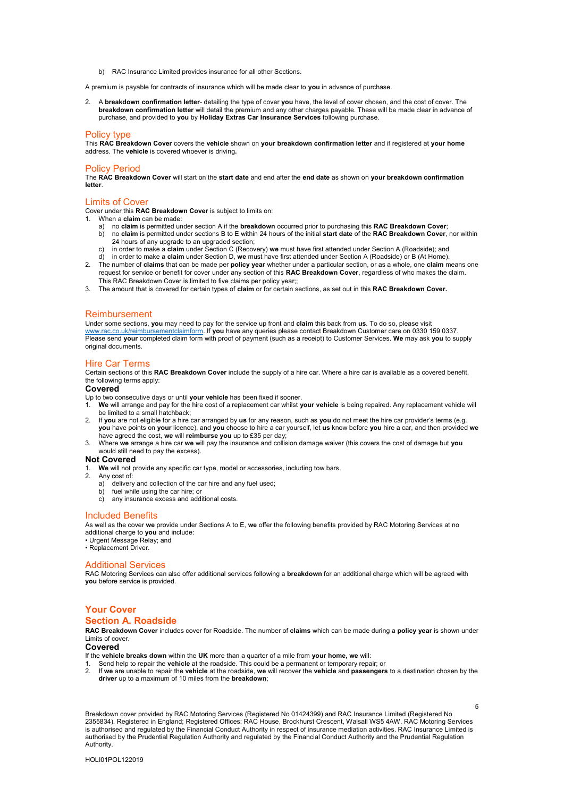b) RAC Insurance Limited provides insurance for all other Sections.

A premium is payable for contracts of insurance which will be made clear to **you** in advance of purchase.

2. A **breakdown confirmation letter**- detailing the type of cover **you** have, the level of cover chosen, and the cost of cover. The **breakdown confirmation letter** will detail the premium and any other charges payable. These will be made clear in advance of purchase, and provided to **you** by **Holiday Extras Car Insurance Services** following purchase.

#### Policy type

This **RAC Breakdown Cover** covers the **vehicle** shown on **your breakdown confirmation letter** and if registered at **your home**  address. The **vehicle** is covered whoever is driving**.** 

#### Policy Period

The **RAC Breakdown Cover** will start on the **start date** and end after the **end date** as shown on **your breakdown confirmation letter**.

#### Limits of Cover

Cover under this **RAC Breakdown Cover** is subject to limits on:

- 1. When a **claim** can be made:
	- a) no **claim** is permitted under section A if the **breakdown** occurred prior to purchasing this **RAC Breakdown Cover**;
	- b) no **claim** is permitted under sections B to E within 24 hours of the initial **start date** of the **RAC Breakdown Cover**, nor within 24 hours of any upgrade to an upgraded section;
	- c) in order to make a **claim** under Section C (Recovery) **we** must have first attended under Section A (Roadside); and
- d) in order to make a **claim** under Section D, **we** must have first attended under Section A (Roadside) or B (At Home). 2. The number of **claims** that can be made per **policy year** whether under a particular section, or as a whole, one **claim** means one
- request for service or benefit for cover under any section of this **RAC Breakdown Cover**, regardless of who makes the claim. This RAC Breakdown Cover is limited to five claims per policy year;;
- 3. The amount that is covered for certain types of **claim** or for certain sections, as set out in this **RAC Breakdown Cover.**

#### Reimbursement

Under some sections, **you** may need to pay for the service up front and **claim** this back from **us**. To do so, please visit [www.rac.co.uk/reimbursementclaimform.](http://www.rac.co.uk/reimbursementclaimform) If **you** have any queries please contact Breakdown Customer care on 0330 159 0337. Please send **your** completed claim form with proof of payment (such as a receipt) to Customer Services. **We** may ask **you** to supply original documents.

#### Hire Car Terms

Certain sections of this **RAC Breakdown Cover** include the supply of a hire car. Where a hire car is available as a covered benefit, the following terms apply:

#### **Covered**

Up to two consecutive days or until **your vehicle** has been fixed if sooner.

- 1. **We** will arrange and pay for the hire cost of a replacement car whilst **your vehicle** is being repaired. Any replacement vehicle will be limited to a small hatchback;
- . If **you** are not eligible for a hire car arranged by **us** for any reason, such as **you** do not meet the hire car provider's terms (e.g.<br>**you** have points on **your** licence), and **you** choose to hire a car yourself, let have agreed the cost, **we** will **reimburse you** up to £35 per day;
- 3. Where **we** arrange a hire car **we** will pay the insurance and collision damage waiver (this covers the cost of damage but **you**  would still need to pay the excess).

#### **Not Covered**

- 1. **We** will not provide any specific car type, model or accessories, including tow bars.
- 2. Any cost of:
	- a) delivery and collection of the car hire and any fuel used;
	- b) fuel while using the car hire; or
	- any insurance excess and additional costs.

#### Included Benefits

As well as the cover **we** provide under Sections A to E, **we** offer the following benefits provided by RAC Motoring Services at no additional charge to **you** and include:

• Urgent Message Relay; and

• Replacement Driver.

#### Additional Services

RAC Motoring Services can also offer additional services following a **breakdown** for an additional charge which will be agreed with **you** before service is provided.

### <span id="page-4-0"></span>**Your Cover Section A. Roadside**

<span id="page-4-1"></span>**RAC Breakdown Cover** includes cover for Roadside. The number of **claims** which can be made during a **policy year** is shown under Limits of cover.

### **Covered**

If the **vehicle breaks down** within the **UK** more than a quarter of a mile from **your home, we** will:

- 1. Send help to repair the **vehicle** at the roadside. This could be a permanent or temporary repair; or
- 2. If **we** are unable to repair the **vehicle** at the roadside, **we** will recover the **vehicle** and **passengers** to a destination chosen by the **driver** up to a maximum of 10 miles from the **breakdown**;

5

Breakdown cover provided by RAC Motoring Services (Registered No 01424399) and RAC Insurance Limited (Registered No 2355834). Registered in England; Registered Offices: RAC House, Brockhurst Crescent, Walsall WS5 4AW. RAC Motoring Services is authorised and regulated by the Financial Conduct Authority in respect of insurance mediation activities. RAC Insurance Limited is authorised by the Prudential Regulation Authority and regulated by the Financial Conduct Authority and the Prudential Regulation Authority.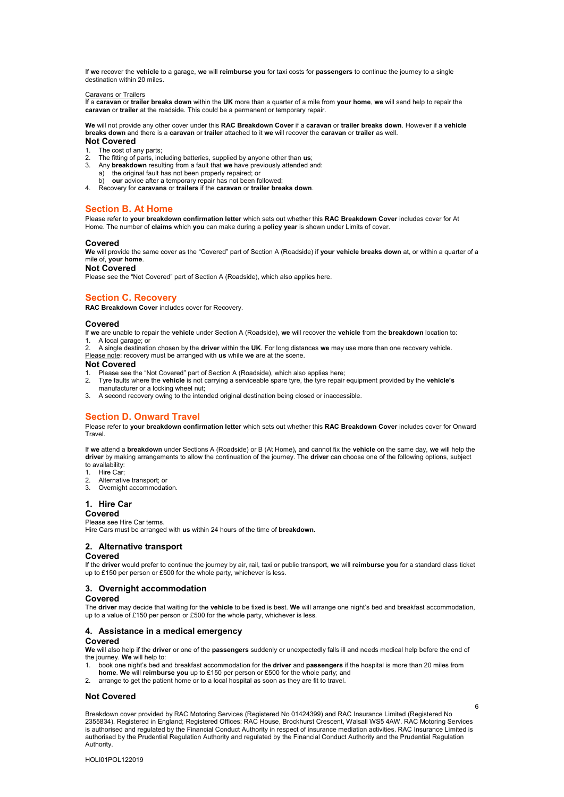If **we** recover the **vehicle** to a garage, **we** will **reimburse you** for taxi costs for **passengers** to continue the journey to a single destination within 20 miles.

Caravans or Trailers If a **caravan** or **trailer breaks down** within the **UK** more than a quarter of a mile from **your home**, **we** will send help to repair the **caravan** or **trailer** at the roadside. This could be a permanent or temporary repair.

**We** will not provide any other cover under this **RAC Breakdown Cover** if a **caravan** or **trailer breaks down**. However if a **vehicle breaks down** and there is a **caravan** or **trailer** attached to it **we** will recover the **caravan** or **trailer** as well. **Not Covered** 

- 1. The cost of any parts;
- 2. The fitting of parts, including batteries, supplied by anyone other than **us**;
- 3. Any **breakdown** resulting from a fault that **we** have previously attended and:
- a) the original fault has not been properly repaired; or
- b) **our** advice after a temporary repair has not been followed;
- <span id="page-5-0"></span>4. Recovery for **caravans** or **trailers** if the **caravan** or **trailer breaks down**.

### **Section B. At Home**

Please refer to **your breakdown confirmation letter** which sets out whether this **RAC Breakdown Cover** includes cover for At Home. The number of **claims** which **you** can make during a **policy year** is shown under Limits of cover.

#### **Covered**

**We** will provide the same cover as the "Covered" part of Section A (Roadside) if **your vehicle breaks down** at, or within a quarter of a mile of, **your home**.

#### **Not Covered**

<span id="page-5-1"></span>Please see the "Not Covered" part of Section A (Roadside), which also applies here.

#### **Section C. Recovery**

**RAC Breakdown Cover** includes cover for Recovery.

#### **Covered**

If **we** are unable to repair the **vehicle** under Section A (Roadside), **we** will recover the **vehicle** from the **breakdown** location to: 1. A local garage; or

2. A single destination chosen by the **driver** within the **UK**. For long distances **we** may use more than one recovery vehicle. Please note: recovery must be arranged with **us** while **we** are at the scene.

#### **Not Covered**

- 1. Please see the "Not Covered" part of Section A (Roadside), which also applies here;
- 2. Tyre faults where the **vehicle** is not carrying a serviceable spare tyre, the tyre repair equipment provided by the **vehicle's**
- manufacturer or a locking wheel nut;
- <span id="page-5-2"></span>3. A second recovery owing to the intended original destination being closed or inaccessible.

#### **Section D. Onward Travel**

Please refer to **your breakdown confirmation letter** which sets out whether this **RAC Breakdown Cover** includes cover for Onward Travel.

If **we** attend a **breakdown** under Sections A (Roadside) or B (At Home)**,** and cannot fix the **vehicle** on the same day, **we** will help the **driver** by making arrangements to allow the continuation of the journey. The **driver** can choose one of the following options, subject to availability:

- 1. Hire Car;
- 2. Alternative transport; or
- 3. Overnight accommodation.
- 

### **1. Hire Car**

### **Covered**

Please see Hire Car terms.

Hire Cars must be arranged with **us** within 24 hours of the time of **breakdown.**

#### **2. Alternative transport**

#### **Covered**

If the **driver** would prefer to continue the journey by air, rail, taxi or public transport, **we** will **reimburse you** for a standard class ticket up to £150 per person or £500 for the whole party, whichever is less.

#### **3. Overnight accommodation**

#### **Covered**

The **driver** may decide that waiting for the **vehicle** to be fixed is best. **We** will arrange one night's bed and breakfast accommodation, up to a value of £150 per person or £500 for the whole party, whichever is less.

#### **4. Assistance in a medical emergency**

### **Covered**

**We** will also help if the **driver** or one of the **passengers** suddenly or unexpectedly falls ill and needs medical help before the end of the journey. **We** will help to:

- 1. book one night's bed and breakfast accommodation for the **driver** and **passengers** if the hospital is more than 20 miles from<br>**home. We** will **reimburse you** up to £150 per person or £500 for the whole party; and
- 2. arrange to get the patient home or to a local hospital as soon as they are fit to travel.

### **Not Covered**

Breakdown cover provided by RAC Motoring Services (Registered No 01424399) and RAC Insurance Limited (Registered No 2355834). Registered in England; Registered Offices: RAC House, Brockhurst Crescent, Walsall WS5 4AW. RAC Motoring Services is authorised and regulated by the Financial Conduct Authority in respect of insurance mediation activities. RAC Insurance Limited is authorised by the Prudential Regulation Authority and regulated by the Financial Conduct Authority and the Prudential Regulation Authority.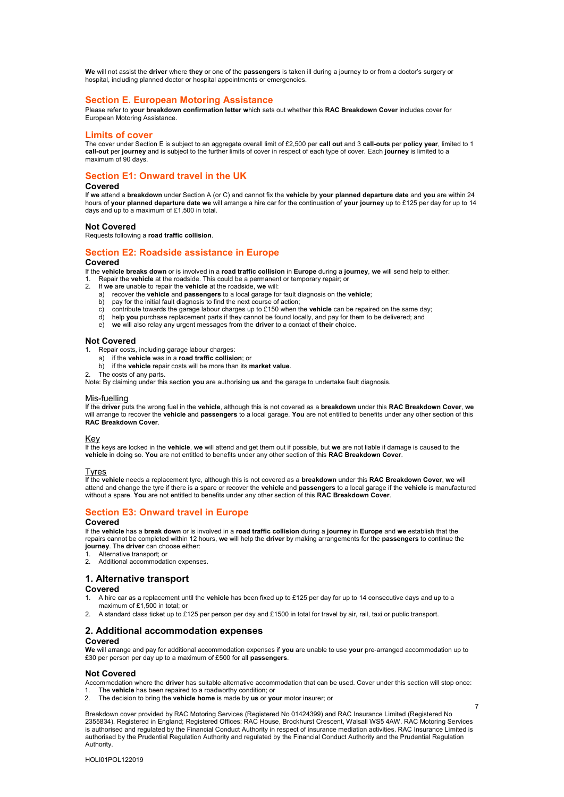**We** will not assist the **driver** where **they** or one of the **passengers** is taken ill during a journey to or from a doctor's surgery or hospital, including planned doctor or hospital appointments or emergencies.

#### <span id="page-6-0"></span>**Section E. European Motoring Assistance**

Please refer to **your breakdown confirmation letter w**hich sets out whether this **RAC Breakdown Cover** includes cover for European Motoring Assistance.

#### **Limits of cover**

The cover under Section E is subject to an aggregate overall limit of £2,500 per **call out** and 3 **call-outs** per **policy year**, limited to 1 **call-out** per **journey** and is subject to the further limits of cover in respect of each type of cover. Each **journey** is limited to a maximum of 90 days.

### **Section E1: Onward travel in the UK**

### **Covered**

If **we** attend a **breakdown** under Section A (or C) and cannot fix the **vehicle** by **your planned departure date** and **you** are within 24 hours of **your planned departure date we** will arrange a hire car for the continuation of **your journey** up to £125 per day for up to 14 days and up to a maximum of £1,500 in total.

#### **Not Covered**

Requests following a **road traffic collision**.

#### **Section E2: Roadside assistance in Europe Covered**

If the **vehicle breaks down** or is involved in a **road traffic collision** in **Europe** during a **journey**, **we** will send help to either:

- 1. Repair the **vehicle** at the roadside. This could be a permanent or temporary repair; or<br>2. If we are unable to repair the **vehicle** at the roadside. We will:
	- 2. If **we** are unable to repair the **vehicle** at the roadside, **we** will:
	- a) recover the **vehicle** and **passengers** to a local garage for fault diagnosis on the **vehicle**;
	- b) pay for the initial fault diagnosis to find the next course of action; c) contribute towards the garage labour charges up to £150 when the **vehicle** can be repaired on the same day;
	-
	- d) help **you** purchase replacement parts if they cannot be found locally, and pay for them to be delivered; and
	- e) **we** will also relay any urgent messages from the **driver** to a contact of **their** choice.

#### **Not Covered**

Repair costs, including garage labour charges:

- a) if the **vehicle** was in a **road traffic collision**; or
- b) if the **vehicle** repair costs will be more than its **market value**.
- The costs of any parts.

Note: By claiming under this section **you** are authorising **us** and the garage to undertake fault diagnosis.

#### Mis-fuelling

If the **driver** puts the wrong fuel in the **vehicle**, although this is not covered as a **breakdown** under this **RAC Breakdown Cover**, **we**  will arrange to recover the **vehicle** and **passengers** to a local garage. **You** are not entitled to benefits under any other section of this **RAC Breakdown Cover**.

#### <u>Key</u>

If the keys are locked in the **vehicle**, **we** will attend and get them out if possible, but **we** are not liable if damage is caused to the **vehicle** in doing so. **You** are not entitled to benefits under any other section of this **RAC Breakdown Cover**.

#### Tyres

If the **vehicle** needs a replacement tyre, although this is not covered as a **breakdown** under this **RAC Breakdown Cover**, **we** will attend and change the tyre if there is a spare or recover the **vehicle** and **passengers** to a local garage if the **vehicle** is manufactured without a spare. **You** are not entitled to benefits under any other section of this **RAC Breakdown Cover**.

### **Section E3: Onward travel in Europe**

#### **Covered**

If the **vehicle** has a **break down** or is involved in a **road traffic collision** during a **journey** in **Europe** and **we** establish that the repairs cannot be completed within 12 hours, **we** will help the **driver** by making arrangements for the **passengers** to continue the **journey**. The **driver** can choose either:

- 1. Alternative transport; or
- 2. Additional accommodation expenses.

#### **1. Alternative transport**

#### **Covered**

- 1. A hire car as a replacement until the **vehicle** has been fixed up to £125 per day for up to 14 consecutive days and up to a maximum of £1,500 in total; or
- 2. A standard class ticket up to £125 per person per day and £1500 in total for travel by air, rail, taxi or public transport.

## **2. Additional accommodation expenses**

### **Covered**

**We** will arrange and pay for additional accommodation expenses if **you** are unable to use **your** pre-arranged accommodation up to £30 per person per day up to a maximum of £500 for all **passengers**.

#### **Not Covered**

Accommodation where the **driver** has suitable alternative accommodation that can be used. Cover under this section will stop once:<br>1. The **vehicle** has been repaired to a roadworthy condition: or 1. The **vehicle** has been repaired to a roadworthy condition; or

2. The decision to bring the **vehicle home** is made by **us** or **your** motor insurer; or

Breakdown cover provided by RAC Motoring Services (Registered No 01424399) and RAC Insurance Limited (Registered No 2355834). Registered in England; Registered Offices: RAC House, Brockhurst Crescent, Walsall WS5 4AW. RAC Motoring Services is authorised and regulated by the Financial Conduct Authority in respect of insurance mediation activities. RAC Insurance Limited is authorised by the Prudential Regulation Authority and regulated by the Financial Conduct Authority and the Prudential Regulation Authority.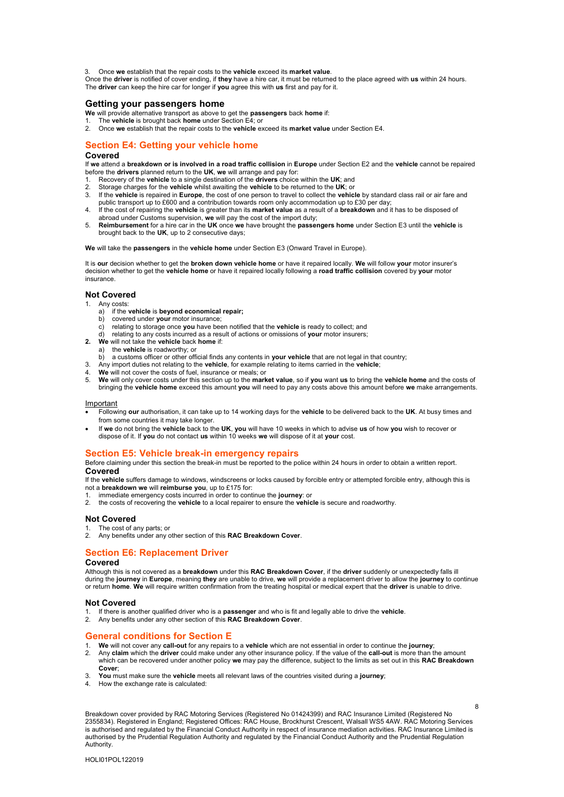3. Once **we** establish that the repair costs to the **vehicle** exceed its **market value**.

Once the **driver** is notified of cover ending, if **they** have a hire car, it must be returned to the place agreed with **us** within 24 hours. The **driver** can keep the hire car for longer if **you** agree this with **us** first and pay for it.

### **Getting your passengers home**

- **We** will provide alternative transport as above to get the **passengers** back **home** if:
- 1. The **vehicle** is brought back **home** under Section E4; or
- 2. Once **we** establish that the repair costs to the **vehicle** exceed its **market value** under Section E4.

### **Section E4: Getting your vehicle home**

#### **Covered**

If **we** attend a **breakdown or is involved in a road traffic collision** in **Europe** under Section E2 and the **vehicle** cannot be repaired before the **drivers** planned return to the **UK**, **we** will arrange and pay for:

- 1. Recovery of the **vehicle** to a single destination of the **drivers** choice within the **UK**; and
- 2. Storage charges for the **vehicle** whilst awaiting the **vehicle** to be returned to the **UK**; or
- 3. If the **vehicle** is repaired in **Europe**, the cost of one person to travel to collect the **vehicle** by standard class rail or air fare and public transport up to £600 and a contribution towards room only accommodation up to £30 per day;
- 4. If the cost of repairing the **vehicle** is greater than its **market value** as a result of a **breakdown** and it has to be disposed of abroad under Customs supervision, **we** will pay the cost of the import duty;
- 5. **Reimbursement** for a hire car in the **UK** once **we** have brought the **passengers home** under Section E3 until the **vehicle** is brought back to the **UK**, up to 2 consecutive days;

**We** will take the **passengers** in the **vehicle home** under Section E3 (Onward Travel in Europe).

It is **our** decision whether to get the **broken down vehicle home** or have it repaired locally. **We** will follow **your** motor insurer's decision whether to get the **vehicle home** or have it repaired locally following a **road traffic collision** covered by **your** motor insurance.

#### **Not Covered**

- 1. Any costs:
	- a) if the **vehicle** is **beyond economical repair;** b) covered under **your** motor insurance;
	- b) covered under **your** motor insurance;<br>c) relating to storage once **vou** have bee
	- c) relating to storage once **you** have been notified that the **vehicle** is ready to collect; and
	- relating to any costs incurred as a result of actions or omissions of your motor insurers;
- **2. We** will not take the **vehicle** back **home** if:
	- a) the **vehicle** is roadworthy; or
	- b) a customs officer or other official finds any contents in **your vehicle** that are not legal in that country;
- 3. Any import duties not relating to the **vehicle**, for example relating to items carried in the **vehicle**;
- 4. **We** will not cover the costs of fuel, insurance or meals; or
- 5. **We** will only cover costs under this section up to the **market value**, so if **you** want **us** to bring the **vehicle home** and the costs of bringing the **vehicle home** exceed this amount **you** will need to pay any costs above this amount before **we** make arrangements.

#### Important

- Following **our** authorisation, it can take up to 14 working days for the **vehicle** to be delivered back to the **UK**. At busy times and from some countries it may take longer.
- If **we** do not bring the **vehicle** back to the **UK**, **you** will have 10 weeks in which to advise **us** of how **you** wish to recover or dispose of it. If **you** do not contact **us** within 10 weeks **we** will dispose of it at **your** cost.

#### **Section E5: Vehicle break-in emergency repairs**

Before claiming under this section the break-in must be reported to the police within 24 hours in order to obtain a written report. **Covered**

If the **vehicle** suffers damage to windows, windscreens or locks caused by forcible entry or attempted forcible entry, although this is not a **breakdown we** will **reimburse you**, up to £175 for:

- 1. immediate emergency costs incurred in order to continue the **journey**: or
- 2. the costs of recovering the **vehicle** to a local repairer to ensure the **vehicle** is secure and roadworthy.

#### **Not Covered**

- The cost of any parts; or
- 2. Any benefits under any other section of this **RAC Breakdown Cover**.

### **Section E6: Replacement Driver**

#### **Covered**

Although this is not covered as a **breakdown** under this **RAC Breakdown Cover**, if the **driver** suddenly or unexpectedly falls ill during the **journey** in **Europe**, meaning **they** are unable to drive, **we** will provide a replacement driver to allow the **journey** to continue or return **home**. **We** will require written confirmation from the treating hospital or medical expert that the **driver** is unable to drive.

#### **Not Covered**

- 1. If there is another qualified driver who is a **passenger** and who is fit and legally able to drive the **vehicle**.
- 2. Any benefits under any other section of this **RAC Breakdown Cover**.

#### **General conditions for Section E**

- 1. **We** will not cover any **call-out** for any repairs to a **vehicle** which are not essential in order to continue the **journey**;
- 2. Any **claim** which the **driver** could make under any other insurance policy. If the value of the **call-out** is more than the amount which can be recovered under another policy **we** may pay the difference, subject to the limits as set out in this **RAC Breakdown Cover**;
- 3. **You** must make sure the **vehicle** meets all relevant laws of the countries visited during a **journey**;
- 4. How the exchange rate is calculated:

Breakdown cover provided by RAC Motoring Services (Registered No 01424399) and RAC Insurance Limited (Registered No 2355834). Registered in England; Registered Offices: RAC House, Brockhurst Crescent, Walsall WS5 4AW. RAC Motoring Services is authorised and regulated by the Financial Conduct Authority in respect of insurance mediation activities. RAC Insurance Limited is authorised by the Prudential Regulation Authority and regulated by the Financial Conduct Authority and the Prudential Regulation Authority.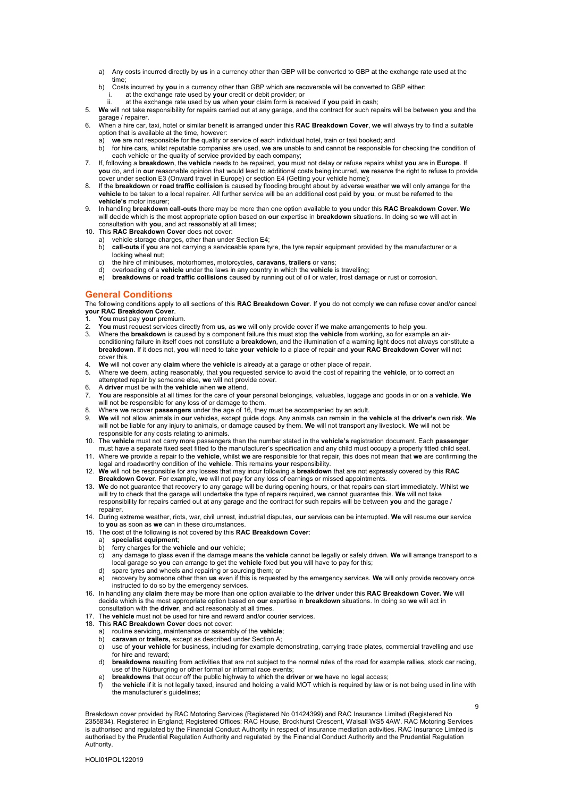- a) Any costs incurred directly by **us** in a currency other than GBP will be converted to GBP at the exchange rate used at the time;
- b) Costs incurred by **you** in a currency other than GBP which are recoverable will be converted to GBP either:
- i. at the exchange rate used by **your** credit or debit provider; or ii. at the exchange rate used by **us** when **your** claim form is received if **you** paid in cash;
- 5. **We** will not take responsibility for repairs carried out at any garage, and the contract for such repairs will be between **you** and the garage / repairer.
- 6. When a hire car, taxi, hotel or similar benefit is arranged under this **RAC Breakdown Cover**, **we** will always try to find a suitable option that is available at the time, however:
	- a) we are not responsible for the quality or service of each individual hotel, train or taxi booked; and<br>b) for hire cars, whilst reputable companies are used, we are unable to and cannot be responsible fo
- b) for hire cars, whilst reputable companies are used, **we** are unable to and cannot be responsible for checking the condition of each vehicle or the quality of service provided by each company;<br>7. If, following a **breakdown**, the **vehicle** needs to be repaired, **you** must not delay or refuse repairs whilst **you** are in Europe. If
- **you** do, and in **our** reasonable opinion that would lead to additional costs being incurred, **we** reserve the right to refuse to provide cover under section E3 (Onward travel in Europe) or section E4 (Getting your vehicle home);
- 8. If the **breakdown** or **road traffic collision** is caused by flooding brought about by adverse weather **we** will only arrange for the **vehicle** to be taken to a local repairer. All further service will be an additional cost paid by **you**, or must be referred to the **vehicle's** motor insurer;
- 9. In handling **breakdown call-outs** there may be more than one option available to **you** under this **RAC Breakdown Cover**. **We**  will decide which is the most appropriate option based on **our** expertise in **breakdown** situations. In doing so **we** will act in consultation with **you**, and act reasonably at all times;
- 10. This **RAC Breakdown Cover** does not cover:
	- a) vehicle storage charges, other than under Section E4;<br>b) call-outs if you are not carrying a serviceable spare ty
	- call-outs if you are not carrying a serviceable spare tyre, the tyre repair equipment provided by the manufacturer or a locking wheel nut;
	- c) the hire of minibuses, motorhomes, motorcycles, **caravans**, **trailers** or vans;
	- d) overloading of a **vehicle** under the laws in any country in which the **vehicle** is travelling; e) **breakdowns** or **road traffic collisions** caused by running out of oil or water, frost damage or rust or corrosion.

### <span id="page-8-0"></span>**General Conditions**

The following conditions apply to all sections of this **RAC Breakdown Cover**. If **you** do not comply **we** can refuse cover and/or cancel **your RAC Breakdown Cover**.

- 1. **You** must pay **your** premium.
- 2. **You** must request services directly from **us**, as **we** will only provide cover if **we** make arrangements to help **you**.
- 3. Where the **breakdown** is caused by a component failure this must stop the **vehicle** from working, so for example an airconditioning failure in itself does not constitute a **breakdown**, and the illumination of a warning light does not always constitute a **breakdown**. If it does not, **you** will need to take **your vehicle** to a place of repair and **your RAC Breakdown Cover** will not cover this.
- 4. **We** will not cover any **claim** where the **vehicle** is already at a garage or other place of repair.
- 5. Where **we** deem, acting reasonably, that **you** requested service to avoid the cost of repairing the **vehicle**, or to correct an attempted repair by someone else, **we** will not provide cover.
- 6. A **driver** must be with the **vehicle** when **we** attend.
- 7. **You** are responsible at all times for the care of **your** personal belongings, valuables, luggage and goods in or on a **vehicle**. **We** will not be responsible for any loss of or damage to them.
- 8. Where **we** recover **passengers** under the age of 16, they must be accompanied by an adult.
- 9. We will not allow animals in our vehicles, except guide dogs. Any animals can remain in the vehicle at the driver's own risk. We<br>will not be liable for any injury to animals, or damage caused by them. We will not transp responsible for any costs relating to animals.
- 10. The **vehicle** must not carry more passengers than the number stated in the **vehicle's** registration document. Each **passenger** must have a separate fixed seat fitted to the manufacturer's specification and any child must occupy a properly fitted child seat.
- 11. Where **we** provide a repair to the **vehicle**, whilst **we** are responsible for that repair, this does not mean that **we** are confirming the legal and roadworthy condition of the **vehicle**. This remains **your** responsibility.
- 12. **We** will not be responsible for any losses that may incur following a **breakdown** that are not expressly covered by this **RAC Breakdown Cover**. For example, **we** will not pay for any loss of earnings or missed appointments.
- 13. **We** do not guarantee that recovery to any garage will be during opening hours, or that repairs can start immediately. Whilst **we**  will try to check that the garage will undertake the type of repairs required, **we** cannot guarantee this. **We** will not take responsibility for repairs carried out at any garage and the contract for such repairs will be between **you** and the garage / repairer.
- 14. During extreme weather, riots, war, civil unrest, industrial disputes, **our** services can be interrupted. **We** will resume **our** service to **you** as soon as **we** can in these circumstances.
- 15. The cost of the following is not covered by this **RAC Breakdown Cover**:
	- a) **specialist equipment**;
	- b) ferry charges for the **vehicle** and **our** vehicle;
	- c) any damage to glass even if the damage means the **vehicle** cannot be legally or safely driven. **We** will arrange transport to a local garage so **you** can arrange to get the **vehicle** fixed but **you** will have to pay for this;
	- d) spare tyres and wheels and repairing or sourcing them; or
	- e) recovery by someone other than **us** even if this is requested by the emergency services. **We** will only provide recovery once instructed to do so by the emergency services.
- 16. In handling any **claim** there may be more than one option available to the **driver** under this **RAC Breakdown Cover. We** will decide which is the most appropriate option based on **our** expertise in **breakdown** situations. In doing so **we** will act in consultation with the **driver**, and act reasonably at all times.
- 17. The **vehicle** must not be used for hire and reward and/or courier services.
- 18. This **RAC Breakdown Cover** does not cover:
	- a) routine servicing, maintenance or assembly of the **vehicle**;
	- b) **caravan** or **trailers,** except as described under Section A;
	- c) use of **your vehicle** for business, including for example demonstrating, carrying trade plates, commercial travelling and use for hire and reward;
	- d) **breakdowns** resulting from activities that are not subject to the normal rules of the road for example rallies, stock car racing, use of the Nürburgring or other formal or informal race events;
	- e) **breakdowns** that occur off the public highway to which the **driver** or **we** have no legal access;
	- f) the **vehicle** if it is not legally taxed, insured and holding a valid MOT which is required by law or is not being used in line with the manufacturer's guidelines;

9

Breakdown cover provided by RAC Motoring Services (Registered No 01424399) and RAC Insurance Limited (Registered No 2355834). Registered in England; Registered Offices: RAC House, Brockhurst Crescent, Walsall WS5 4AW. RAC Motoring Services is authorised and regulated by the Financial Conduct Authority in respect of insurance mediation activities. RAC Insurance Limited is authorised by the Prudential Regulation Authority and regulated by the Financial Conduct Authority and the Prudential Regulation Authority.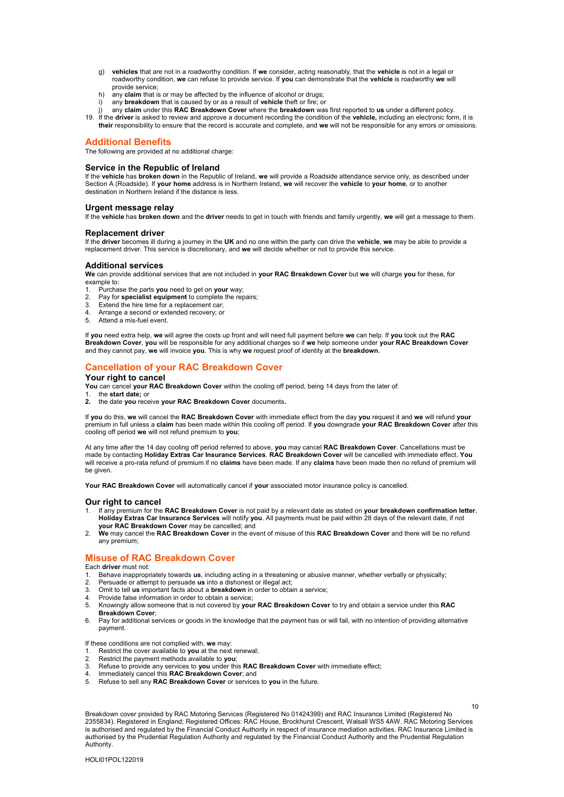- g) **vehicles** that are not in a roadworthy condition. If **we** consider, acting reasonably, that the **vehicle** is not in a legal or roadworthy condition, **we** can refuse to provide service. If **you** can demonstrate that the **vehicle** is roadworthy **we** will provide service;
- h) any **claim** that is or may be affected by the influence of alcohol or drugs;
- i) any **breakdown** that is caused by or as a result of **vehicle** theft or fire; or
- j) any **claim** under this **RAC Breakdown Cover** where the **breakdown** was first reported to **us** under a different policy.
- 19. If the **driver** is asked to review and approve a document recording the condition of the **vehicle,** including an electronic form, it is **their** responsibility to ensure that the record is accurate and complete, and **we** will not be responsible for any errors or omissions.

### <span id="page-9-0"></span>**Additional Benefits**

The following are provided at no additional charge:

#### **Service in the Republic of Ireland**

If the **vehicle** has **broken down** in the Republic of Ireland, **we** will provide a Roadside attendance service only, as described under Section A (Roadside). If **your home** address is in Northern Ireland, **we** will recover the **vehicle** to **your home**, or to another destination in Northern Ireland if the distance is less.

#### **Urgent message relay**

If the **vehicle** has **broken down** and the **driver** needs to get in touch with friends and family urgently, **we** will get a message to them.

#### **Replacement driver**

If the **driver** becomes ill during a journey in the **UK** and no one within the party can drive the **vehicle**, **we** may be able to provide a replacement driver. This service is discretionary, and **we** will decide whether or not to provide this service.

#### **Additional services**

**We** can provide additional services that are not included in **your RAC Breakdown Cover** but **we** will charge **you** for these, for example to:<br>1. Purcha

- 1. Purchase the parts **you** need to get on **your** way;
- Pay for **specialist equipment** to complete the repairs;
- 3. Extend the hire time for a replacement car;<br>4 Arrange a second or extended recovery; or
- Arrange a second or extended recovery; or 5. Attend a mis-fuel event.
- 

If **you** need extra help, **we** will agree the costs up front and will need full payment before **we** can help. If **you** took out the **RAC Breakdown Cover**, **you** will be responsible for any additional charges so if **we** help someone under **your RAC Breakdown Cover**  and they cannot pay, **we** will invoice **you**. This is why **we** request proof of identity at the **breakdown**.

### <span id="page-9-1"></span>**Cancellation of your RAC Breakdown Cover**

### **Your right to cancel**

You can cancel your RAC Breakdown Cover within the cooling off period, being 14 days from the later of:

- 1. the **start date;** or
- **2.** the date **you** receive **your RAC Breakdown Cover** documents**.**

If **you** do this, **we** will cancel the **RAC Breakdown Cover** with immediate effect from the day **you** request it and **we** will refund **your**  premium in full unless a **claim** has been made within this cooling off period. If **you** downgrade **your RAC Breakdown Cover** after this cooling off period **we** will not refund premium to **you**;

At any time after the 14 day cooling off period referred to above, **you** may cancel **RAC Breakdown Cover**. Cancellations must be made by contacting **Holiday Extras Car Insurance Services**. **RAC Breakdown Cover** will be cancelled with immediate effect. **You** will receive a pro-rata refund of premium if no **claims** have been made. If any **claims** have been made then no refund of premium will be given.

**Your RAC Breakdown Cover** will automatically cancel if **your** associated motor insurance policy is cancelled.

#### **Our right to cancel**

- 1. If any premium for the **RAC Breakdown Cover** is not paid by a relevant date as stated on **your breakdown confirmation letter**, **Holiday Extras Car Insurance Services** will notify **you**. All payments must be paid within 28 days of the relevant date, if not **your RAC Breakdown Cover** may be cancelled; and
- 2. **We** may cancel the **RAC Breakdown Cover** in the event of misuse of this **RAC Breakdown Cover** and there will be no refund any premium;

### <span id="page-9-2"></span>**Misuse of RAC Breakdown Cover**

Each **driver** must not:

- 1. Behave inappropriately towards **us**, including acting in a threatening or abusive manner, whether verbally or physically;
- 2. Persuade or attempt to persuade **us** into a dishonest or illegal act;
- 3. Omit to tell **us** important facts about a **breakdown** in order to obtain a service;
- 4. Provide false information in order to obtain a service;<br>5. Knowingly allow someone that is not covered by vou
- 5. Knowingly allow someone that is not covered by **your RAC Breakdown Cover** to try and obtain a service under this **RAC Breakdown Cover**;
- 6. Pay for additional services or goods in the knowledge that the payment has or will fail, with no intention of providing alternative payment.

If these conditions are not complied with, **we** may:

- 1. Restrict the cover available to **you** at the next renewal;
- 2. Restrict the payment methods available to **you**;<br>3. Refuse to provide any services to **you** under this
- 3. Refuse to provide any services to **you** under this **RAC Breakdown Cover** with immediate effect;
- 4. Immediately cancel this **RAC Breakdown Cover**; and
- 5. Refuse to sell any **RAC Breakdown Cover** or services to **you** in the future.

Breakdown cover provided by RAC Motoring Services (Registered No 01424399) and RAC Insurance Limited (Registered No 2355834). Registered in England; Registered Offices: RAC House, Brockhurst Crescent, Walsall WS5 4AW. RAC Motoring Services is authorised and regulated by the Financial Conduct Authority in respect of insurance mediation activities. RAC Insurance Limited is authorised by the Prudential Regulation Authority and regulated by the Financial Conduct Authority and the Prudential Regulation Authority.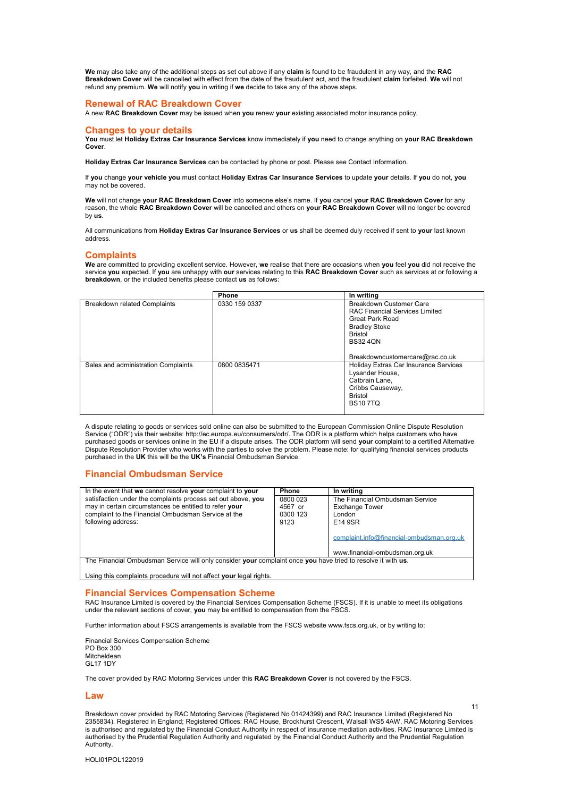**We** may also take any of the additional steps as set out above if any **claim** is found to be fraudulent in any way, and the **RAC Breakdown Cover** will be cancelled with effect from the date of the fraudulent act, and the fraudulent **claim** forfeited. **We** will not refund any premium. **We** will notify **you** in writing if **we** decide to take any of the above steps.

### <span id="page-10-0"></span>**Renewal of RAC Breakdown Cover**

A new **RAC Breakdown Cover** may be issued when **you** renew **your** existing associated motor insurance policy.

#### <span id="page-10-1"></span>**Changes to your details**

**You** must let **Holiday Extras Car Insurance Services** know immediately if **you** need to change anything on **your RAC Breakdown Cover**.

**Holiday Extras Car Insurance Services** can be contacted by phone or post. Please see Contact Information.

If **you** change **your vehicle you** must contact **Holiday Extras Car Insurance Services** to update **your** details. If **you** do not, **you**  may not be covered.

**We** will not change **your RAC Breakdown Cover** into someone else's name. If **you** cancel **your RAC Breakdown Cover** for any<br>reason, the whole **RAC Breakdown Cover** will be cancelled and others on **your RAC Breakdown Cover** by **us**.

All communications from **Holiday Extras Car Insurance Services** or **us** shall be deemed duly received if sent to **your** last known address.

#### <span id="page-10-2"></span>**Complaints**

**We** are committed to providing excellent service. However, **we** realise that there are occasions when **you** feel **you** did not receive the service **you** expected. If **you** are unhappy with **our** services relating to this **RAC Breakdown Cover** such as services at or following a **breakdown**, or the included benefits please contact **us** as follows:

|                                     | <b>Phone</b>  | In writing                            |
|-------------------------------------|---------------|---------------------------------------|
| <b>Breakdown related Complaints</b> | 0330 159 0337 | Breakdown Customer Care               |
|                                     |               | <b>RAC Financial Services Limited</b> |
|                                     |               | Great Park Road                       |
|                                     |               | <b>Bradley Stoke</b>                  |
|                                     |               | Bristol                               |
|                                     |               | <b>BS324QN</b>                        |
|                                     |               |                                       |
|                                     |               | Breakdowncustomercare@rac.co.uk       |
| Sales and administration Complaints | 0800 0835471  | Holiday Extras Car Insurance Services |
|                                     |               | Lysander House,                       |
|                                     |               | Catbrain Lane.                        |
|                                     |               | Cribbs Causeway,                      |
|                                     |               | <b>Bristol</b>                        |
|                                     |               | <b>BS107TQ</b>                        |
|                                     |               |                                       |

A dispute relating to goods or services sold online can also be submitted to the European Commission Online Dispute Resolution Service ("ODR") via their website: http://ec.europa.eu/consumers/odr/. The ODR is a platform which helps customers who have purchased goods or services online in the EU if a dispute arises. The ODR platform will send **your** complaint to a certified Alternative Dispute Resolution Provider who works with the parties to solve the problem. Please note: for qualifying financial services products purchased in the **UK** this will be the **UK's** Financial Ombudsman Service.

#### <span id="page-10-3"></span>**Financial Ombudsman Service**

| In the event that we cannot resolve your complaint to your                                                   | <b>Phone</b> | In writing                                |  |
|--------------------------------------------------------------------------------------------------------------|--------------|-------------------------------------------|--|
| satisfaction under the complaints process set out above, you                                                 | 0800 023     | The Financial Ombudsman Service           |  |
| may in certain circumstances be entitled to refer your                                                       | 4567 or      | <b>Exchange Tower</b>                     |  |
| complaint to the Financial Ombudsman Service at the                                                          | 0300 123     | London                                    |  |
| following address:                                                                                           | 9123         | E14 9SR                                   |  |
|                                                                                                              |              |                                           |  |
|                                                                                                              |              | complaint.info@financial-ombudsman.org.uk |  |
|                                                                                                              |              |                                           |  |
|                                                                                                              |              | www.financial-ombudsman.org.uk            |  |
| The Financial Ombudsman Service will only consider your complaint once you have tried to resolve it with us. |              |                                           |  |

Using this complaints procedure will not affect **your** legal rights.

#### <span id="page-10-4"></span>**Financial Services Compensation Scheme**

RAC Insurance Limited is covered by the Financial Services Compensation Scheme (FSCS). If it is unable to meet its obligations under the relevant sections of cover, **you** may be entitled to compensation from the FSCS.

Further information about FSCS arrangements is available from the FSCS website www.fscs.org.uk, or by writing to:

Financial Services Compensation Scheme PO Box 300 Mitcheldean GL17 1DY

The cover provided by RAC Motoring Services under this **RAC Breakdown Cover** is not covered by the FSCS.

#### **Law**

Breakdown cover provided by RAC Motoring Services (Registered No 01424399) and RAC Insurance Limited (Registered No 2355834). Registered in England; Registered Offices: RAC House, Brockhurst Crescent, Walsall WS5 4AW. RAC Motoring Services is authorised and regulated by the Financial Conduct Authority in respect of insurance mediation activities. RAC Insurance Limited is authorised by the Prudential Regulation Authority and regulated by the Financial Conduct Authority and the Prudential Regulation Authority.